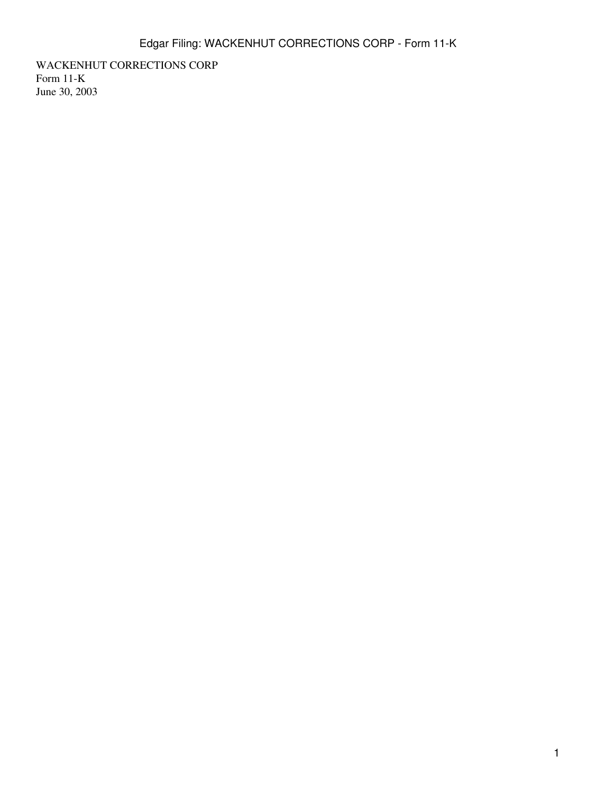WACKENHUT CORRECTIONS CORP Form 11-K June 30, 2003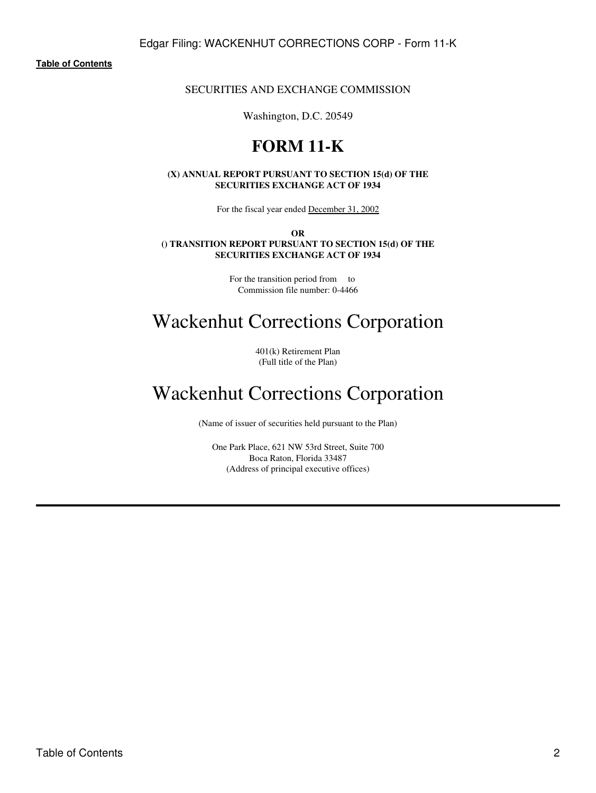# SECURITIES AND EXCHANGE COMMISSION

Washington, D.C. 20549

# **FORM 11-K**

## **(X) ANNUAL REPORT PURSUANT TO SECTION 15(d) OF THE SECURITIES EXCHANGE ACT OF 1934**

For the fiscal year ended December 31, 2002

**OR () TRANSITION REPORT PURSUANT TO SECTION 15(d) OF THE SECURITIES EXCHANGE ACT OF 1934**

> For the transition period from to Commission file number: 0-4466

# Wackenhut Corrections Corporation

401(k) Retirement Plan (Full title of the Plan)

# Wackenhut Corrections Corporation

(Name of issuer of securities held pursuant to the Plan)

One Park Place, 621 NW 53rd Street, Suite 700 Boca Raton, Florida 33487 (Address of principal executive offices)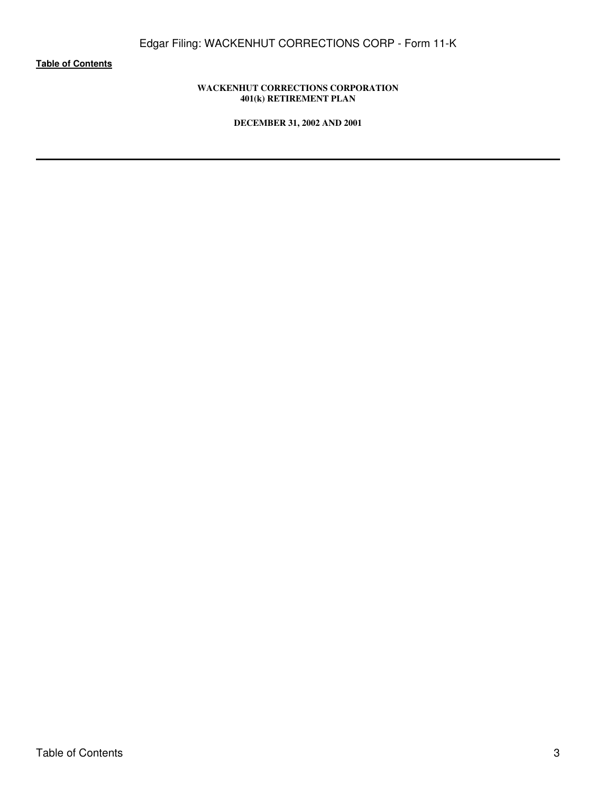# **WACKENHUT CORRECTIONS CORPORATION 401(k) RETIREMENT PLAN**

**DECEMBER 31, 2002 AND 2001**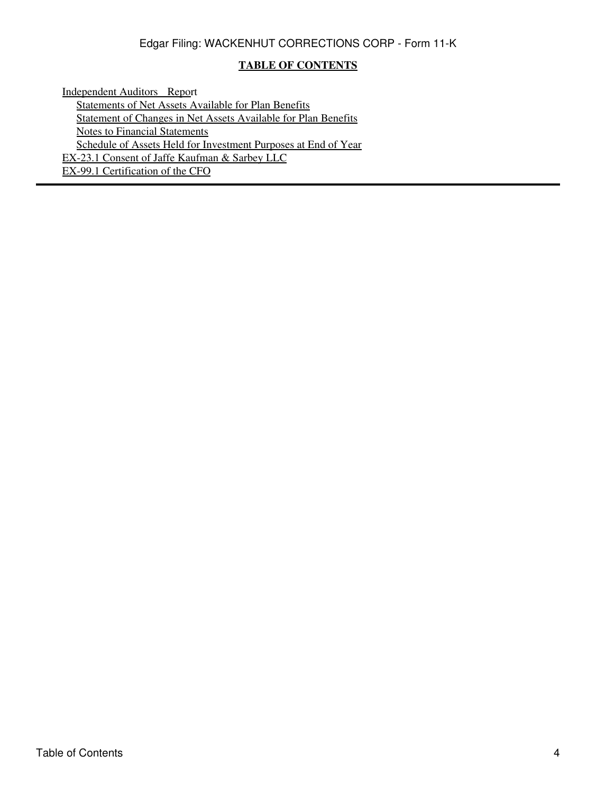# **TABLE OF CONTENTS**

<span id="page-3-0"></span>[Independent Auditors Repo](#page-5-0)rt [Statements of Net Assets Available for Plan Benefits](#page-6-0) [Statement of Changes in Net Assets Available for Plan Benefits](#page-7-0) [Notes to Financial Statements](#page-8-0) [Schedule of Assets Held for Investment Purposes at End of Year](#page-12-0) EX-23.1 Consent of Jaffe Kaufman & Sarbey LLC EX-99.1 Certification of the CFO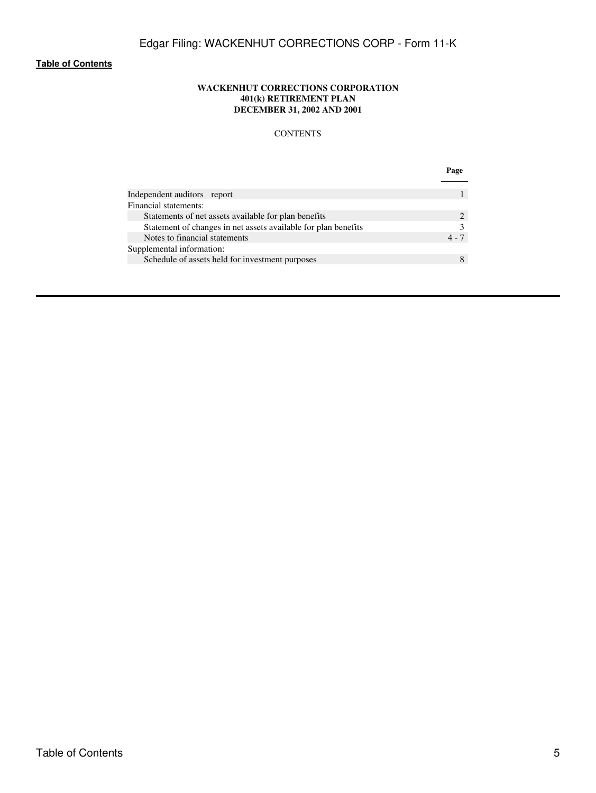## **WACKENHUT CORRECTIONS CORPORATION 401(k) RETIREMENT PLAN DECEMBER 31, 2002 AND 2001**

# **CONTENTS**

|                                                                | Page    |
|----------------------------------------------------------------|---------|
|                                                                |         |
| Independent auditors report                                    |         |
| Financial statements:                                          |         |
| Statements of net assets available for plan benefits           |         |
| Statement of changes in net assets available for plan benefits |         |
| Notes to financial statements                                  | $4 - 7$ |
| Supplemental information:                                      |         |
| Schedule of assets held for investment purposes                |         |
|                                                                |         |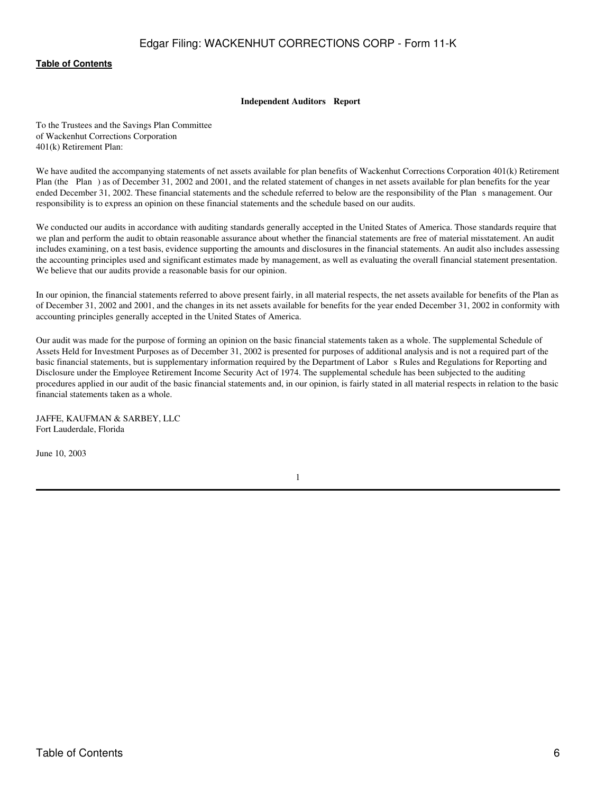#### **Independent Auditors Report**

<span id="page-5-0"></span>To the Trustees and the Savings Plan Committee of Wackenhut Corrections Corporation 401(k) Retirement Plan:

We have audited the accompanying statements of net assets available for plan benefits of Wackenhut Corrections Corporation 401(k) Retirement Plan (the Plan) as of December 31, 2002 and 2001, and the related statement of changes in net assets available for plan benefits for the year ended December 31, 2002. These financial statements and the schedule referred to below are the responsibility of the Plans management. Our responsibility is to express an opinion on these financial statements and the schedule based on our audits.

We conducted our audits in accordance with auditing standards generally accepted in the United States of America. Those standards require that we plan and perform the audit to obtain reasonable assurance about whether the financial statements are free of material misstatement. An audit includes examining, on a test basis, evidence supporting the amounts and disclosures in the financial statements. An audit also includes assessing the accounting principles used and significant estimates made by management, as well as evaluating the overall financial statement presentation. We believe that our audits provide a reasonable basis for our opinion.

In our opinion, the financial statements referred to above present fairly, in all material respects, the net assets available for benefits of the Plan as of December 31, 2002 and 2001, and the changes in its net assets available for benefits for the year ended December 31, 2002 in conformity with accounting principles generally accepted in the United States of America.

Our audit was made for the purpose of forming an opinion on the basic financial statements taken as a whole. The supplemental Schedule of Assets Held for Investment Purposes as of December 31, 2002 is presented for purposes of additional analysis and is not a required part of the basic financial statements, but is supplementary information required by the Department of Labor s Rules and Regulations for Reporting and Disclosure under the Employee Retirement Income Security Act of 1974. The supplemental schedule has been subjected to the auditing procedures applied in our audit of the basic financial statements and, in our opinion, is fairly stated in all material respects in relation to the basic financial statements taken as a whole.

JAFFE, KAUFMAN & SARBEY, LLC Fort Lauderdale, Florida

June 10, 2003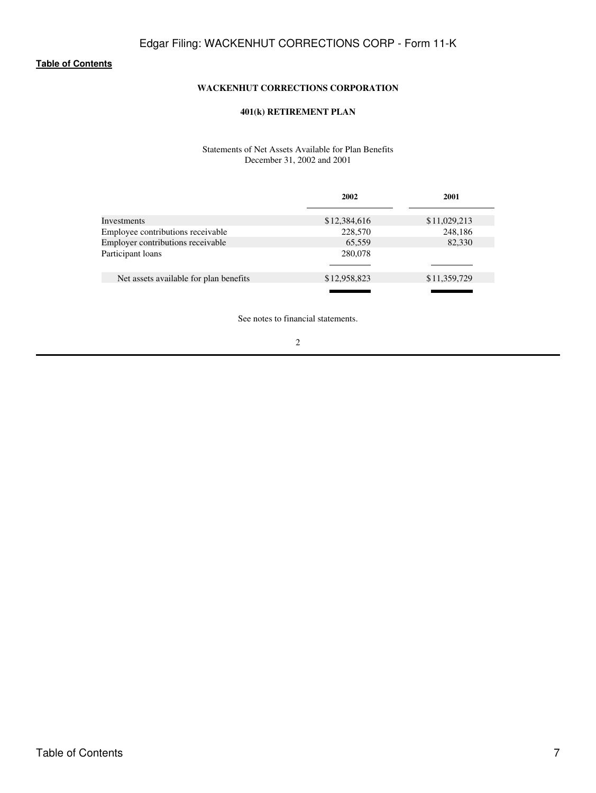# **WACKENHUT CORRECTIONS CORPORATION**

# **401(k) RETIREMENT PLAN**

# Statements of Net Assets Available for Plan Benefits December 31, 2002 and 2001

<span id="page-6-0"></span>

|                                        | 2002         | 2001         |
|----------------------------------------|--------------|--------------|
| Investments                            | \$12,384,616 | \$11,029,213 |
| Employee contributions receivable      | 228,570      | 248,186      |
| Employer contributions receivable      | 65,559       | 82,330       |
| Participant loans                      | 280,078      |              |
|                                        |              |              |
| Net assets available for plan benefits | \$12,958,823 | \$11,359,729 |
|                                        |              |              |

See notes to financial statements.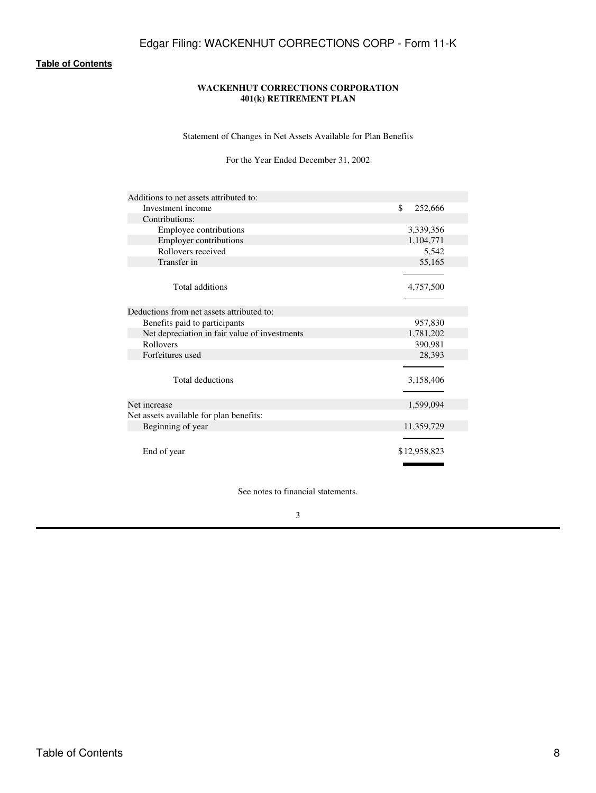# **WACKENHUT CORRECTIONS CORPORATION 401(k) RETIREMENT PLAN**

Statement of Changes in Net Assets Available for Plan Benefits

# For the Year Ended December 31, 2002

<span id="page-7-0"></span>

| Additions to net assets attributed to:        |               |
|-----------------------------------------------|---------------|
| Investment income                             | \$<br>252,666 |
| Contributions:                                |               |
| Employee contributions                        | 3,339,356     |
| <b>Employer contributions</b>                 | 1,104,771     |
| Rollovers received                            | 5,542         |
| Transfer in                                   | 55,165        |
|                                               |               |
| Total additions                               | 4,757,500     |
|                                               |               |
| Deductions from net assets attributed to:     |               |
| Benefits paid to participants                 | 957,830       |
| Net depreciation in fair value of investments | 1,781,202     |
| Rollovers                                     | 390,981       |
| Forfeitures used                              | 28,393        |
|                                               |               |
| Total deductions                              | 3,158,406     |
|                                               |               |
| Net increase                                  | 1,599,094     |
| Net assets available for plan benefits:       |               |
| Beginning of year                             | 11,359,729    |
|                                               |               |
| End of year                                   | \$12,958,823  |
|                                               |               |

See notes to financial statements.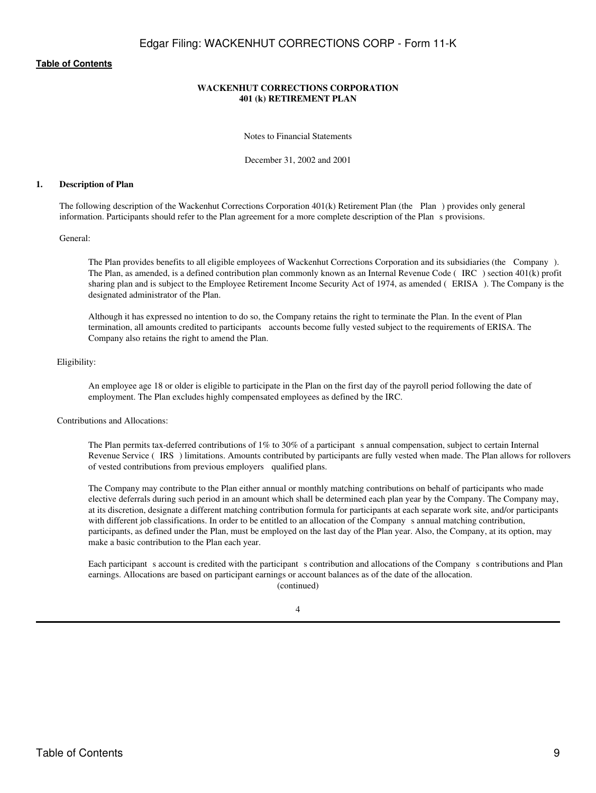## **WACKENHUT CORRECTIONS CORPORATION 401 (k) RETIREMENT PLAN**

Notes to Financial Statements

December 31, 2002 and 2001

#### <span id="page-8-0"></span>**1. Description of Plan**

The following description of the Wackenhut Corrections Corporation 401(k) Retirement Plan (the Plan) provides only general information. Participants should refer to the Plan agreement for a more complete description of the Plan s provisions.

General:

The Plan provides benefits to all eligible employees of Wackenhut Corrections Corporation and its subsidiaries (the Company). The Plan, as amended, is a defined contribution plan commonly known as an Internal Revenue Code (IRC) section 401(k) profit sharing plan and is subject to the Employee Retirement Income Security Act of 1974, as amended (ERISA). The Company is the designated administrator of the Plan.

Although it has expressed no intention to do so, the Company retains the right to terminate the Plan. In the event of Plan termination, all amounts credited to participants accounts become fully vested subject to the requirements of ERISA. The Company also retains the right to amend the Plan.

#### Eligibility:

An employee age 18 or older is eligible to participate in the Plan on the first day of the payroll period following the date of employment. The Plan excludes highly compensated employees as defined by the IRC.

Contributions and Allocations:

The Plan permits tax-deferred contributions of  $1\%$  to  $30\%$  of a participant s annual compensation, subject to certain Internal Revenue Service (IRS) limitations. Amounts contributed by participants are fully vested when made. The Plan allows for rollovers of vested contributions from previous employers qualified plans.

The Company may contribute to the Plan either annual or monthly matching contributions on behalf of participants who made elective deferrals during such period in an amount which shall be determined each plan year by the Company. The Company may, at its discretion, designate a different matching contribution formula for participants at each separate work site, and/or participants with different job classifications. In order to be entitled to an allocation of the Company s annual matching contribution, participants, as defined under the Plan, must be employed on the last day of the Plan year. Also, the Company, at its option, may make a basic contribution to the Plan each year.

Each participant s account is credited with the participant s contribution and allocations of the Company s contributions and Plan earnings. Allocations are based on participant earnings or account balances as of the date of the allocation. (continued)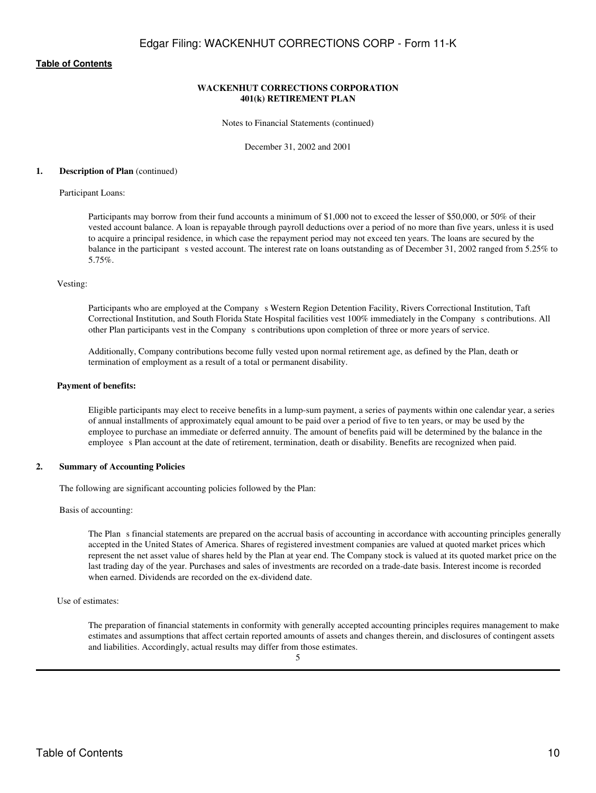## **WACKENHUT CORRECTIONS CORPORATION 401(k) RETIREMENT PLAN**

Notes to Financial Statements (continued)

December 31, 2002 and 2001

#### **1. Description of Plan** (continued)

#### Participant Loans:

Participants may borrow from their fund accounts a minimum of \$1,000 not to exceed the lesser of \$50,000, or 50% of their vested account balance. A loan is repayable through payroll deductions over a period of no more than five years, unless it is used to acquire a principal residence, in which case the repayment period may not exceed ten years. The loans are secured by the balance in the participant s vested account. The interest rate on loans outstanding as of December 31, 2002 ranged from 5.25% to 5.75%.

#### Vesting:

Participants who are employed at the Company s Western Region Detention Facility, Rivers Correctional Institution, Taft Correctional Institution, and South Florida State Hospital facilities vest 100% immediately in the Companys contributions. All other Plan participants vest in the Company s contributions upon completion of three or more years of service.

Additionally, Company contributions become fully vested upon normal retirement age, as defined by the Plan, death or termination of employment as a result of a total or permanent disability.

#### **Payment of benefits:**

Eligible participants may elect to receive benefits in a lump-sum payment, a series of payments within one calendar year, a series of annual installments of approximately equal amount to be paid over a period of five to ten years, or may be used by the employee to purchase an immediate or deferred annuity. The amount of benefits paid will be determined by the balance in the employees Plan account at the date of retirement, termination, death or disability. Benefits are recognized when paid.

#### **2. Summary of Accounting Policies**

The following are significant accounting policies followed by the Plan:

Basis of accounting:

The Plan s financial statements are prepared on the accrual basis of accounting in accordance with accounting principles generally accepted in the United States of America. Shares of registered investment companies are valued at quoted market prices which represent the net asset value of shares held by the Plan at year end. The Company stock is valued at its quoted market price on the last trading day of the year. Purchases and sales of investments are recorded on a trade-date basis. Interest income is recorded when earned. Dividends are recorded on the ex-dividend date.

#### Use of estimates:

The preparation of financial statements in conformity with generally accepted accounting principles requires management to make estimates and assumptions that affect certain reported amounts of assets and changes therein, and disclosures of contingent assets and liabilities. Accordingly, actual results may differ from those estimates.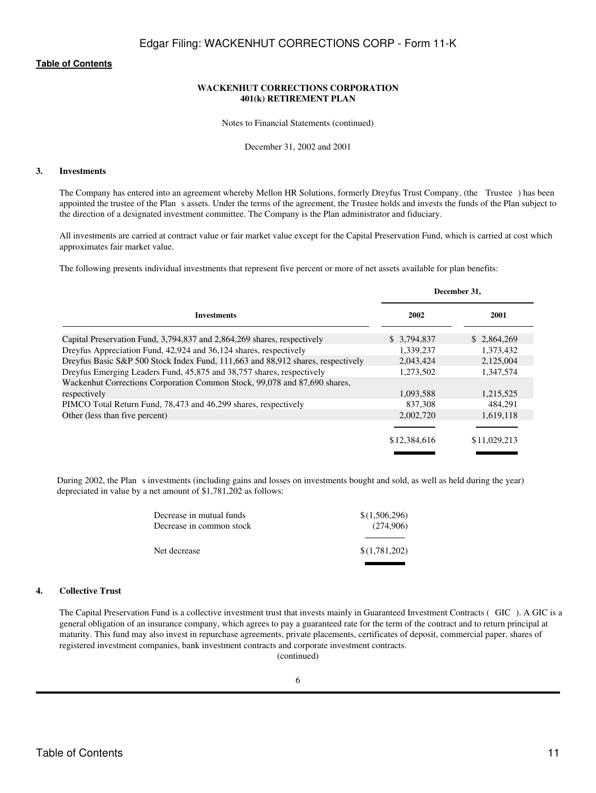## **WACKENHUT CORRECTIONS CORPORATION 401(k) RETIREMENT PLAN**

Notes to Financial Statements (continued)

December 31, 2002 and 2001

#### **3. Investments**

The Company has entered into an agreement whereby Mellon HR Solutions, formerly Dreyfus Trust Company, (the Trustee) has been appointed the trustee of the Plans assets. Under the terms of the agreement, the Trustee holds and invests the funds of the Plan subject to the direction of a designated investment committee. The Company is the Plan administrator and fiduciary.

All investments are carried at contract value or fair market value except for the Capital Preservation Fund, which is carried at cost which approximates fair market value.

The following presents individual investments that represent five percent or more of net assets available for plan benefits:

|                                                                                 | December 31. |              |
|---------------------------------------------------------------------------------|--------------|--------------|
| <b>Investments</b>                                                              | 2002         | 2001         |
| Capital Preservation Fund, 3,794,837 and 2,864,269 shares, respectively         | \$ 3,794,837 | \$2,864,269  |
| Dreyfus Appreciation Fund, 42,924 and 36,124 shares, respectively               | 1.339.237    | 1.373.432    |
| Dreyfus Basic S&P 500 Stock Index Fund, 111,663 and 88,912 shares, respectively | 2.043.424    | 2,125,004    |
| Dreyfus Emerging Leaders Fund, 45,875 and 38,757 shares, respectively           | 1.273.502    | 1.347.574    |
| Wackenhut Corrections Corporation Common Stock, 99,078 and 87,690 shares,       |              |              |
| respectively                                                                    | 1,093,588    | 1,215,525    |
| PIMCO Total Return Fund, 78,473 and 46,299 shares, respectively                 | 837,308      | 484.291      |
| Other (less than five percent)                                                  | 2.002.720    | 1,619,118    |
|                                                                                 |              |              |
|                                                                                 | \$12,384,616 | \$11,029,213 |

During 2002, the Plan s investments (including gains and losses on investments bought and sold, as well as held during the year) depreciated in value by a net amount of \$1,781,202 as follows:

| Decrease in mutual funds | \$(1,506,296) |
|--------------------------|---------------|
| Decrease in common stock | (274,906)     |
|                          |               |
| Net decrease             | \$(1,781,202) |
|                          |               |

## **4. Collective Trust**

The Capital Preservation Fund is a collective investment trust that invests mainly in Guaranteed Investment Contracts (GIC). A GIC is a general obligation of an insurance company, which agrees to pay a guaranteed rate for the term of the contract and to return principal at maturity. This fund may also invest in repurchase agreements, private placements, certificates of deposit, commercial paper, shares of registered investment companies, bank investment contracts and corporate investment contracts.

(continued)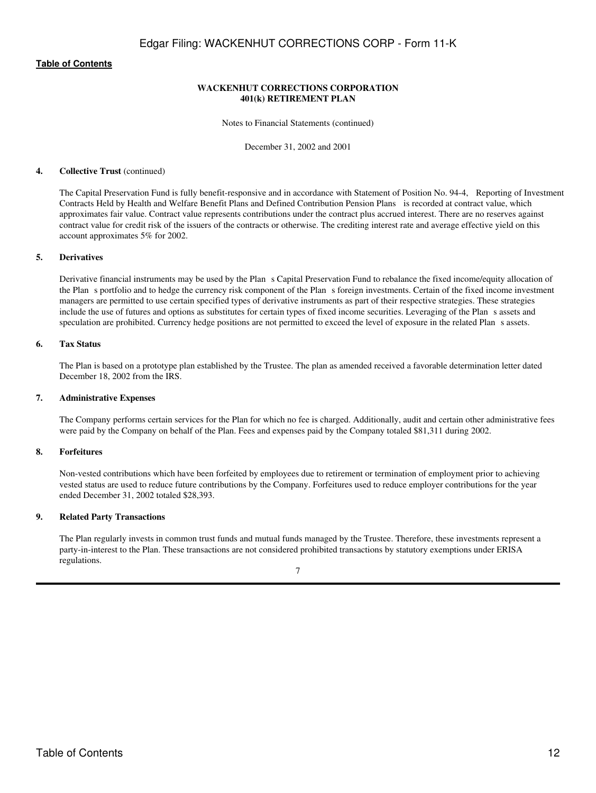## **WACKENHUT CORRECTIONS CORPORATION 401(k) RETIREMENT PLAN**

Notes to Financial Statements (continued)

December 31, 2002 and 2001

#### **4. Collective Trust** (continued)

The Capital Preservation Fund is fully benefit-responsive and in accordance with Statement of Position No. 94-4, Reporting of Investment Contracts Held by Health and Welfare Benefit Plans and Defined Contribution Pension Plans is recorded at contract value, which approximates fair value. Contract value represents contributions under the contract plus accrued interest. There are no reserves against contract value for credit risk of the issuers of the contracts or otherwise. The crediting interest rate and average effective yield on this account approximates 5% for 2002.

## **5. Derivatives**

Derivative financial instruments may be used by the Plan s Capital Preservation Fund to rebalance the fixed income/equity allocation of the Plan s portfolio and to hedge the currency risk component of the Plan s foreign investments. Certain of the fixed income investment managers are permitted to use certain specified types of derivative instruments as part of their respective strategies. These strategies include the use of futures and options as substitutes for certain types of fixed income securities. Leveraging of the Plans assets and speculation are prohibited. Currency hedge positions are not permitted to exceed the level of exposure in the related Plan s assets.

#### **6. Tax Status**

The Plan is based on a prototype plan established by the Trustee. The plan as amended received a favorable determination letter dated December 18, 2002 from the IRS.

#### **7. Administrative Expenses**

The Company performs certain services for the Plan for which no fee is charged. Additionally, audit and certain other administrative fees were paid by the Company on behalf of the Plan. Fees and expenses paid by the Company totaled \$81,311 during 2002.

## **8. Forfeitures**

Non-vested contributions which have been forfeited by employees due to retirement or termination of employment prior to achieving vested status are used to reduce future contributions by the Company. Forfeitures used to reduce employer contributions for the year ended December 31, 2002 totaled \$28,393.

## **9. Related Party Transactions**

The Plan regularly invests in common trust funds and mutual funds managed by the Trustee. Therefore, these investments represent a party-in-interest to the Plan. These transactions are not considered prohibited transactions by statutory exemptions under ERISA regulations.

<sup>7</sup>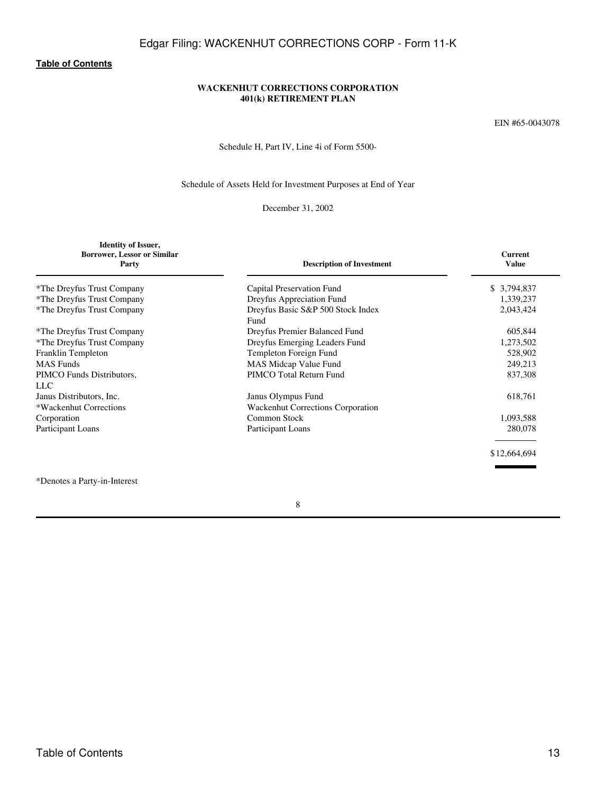Edgar Filing: WACKENHUT CORRECTIONS CORP - Form 11-K

# **[Table of Contents](#page-3-0)**

# **WACKENHUT CORRECTIONS CORPORATION 401(k) RETIREMENT PLAN**

EIN #65-0043078

Schedule H, Part IV, Line 4i of Form 5500-

# Schedule of Assets Held for Investment Purposes at End of Year

December 31, 2002

<span id="page-12-0"></span>

| <b>Identity of Issuer,</b><br><b>Borrower, Lessor or Similar</b><br>Party | <b>Description of Investment</b>          | Current<br><b>Value</b> |
|---------------------------------------------------------------------------|-------------------------------------------|-------------------------|
| *The Dreyfus Trust Company                                                | Capital Preservation Fund                 | \$3,794,837             |
| *The Dreyfus Trust Company                                                | Dreyfus Appreciation Fund                 | 1,339,237               |
| *The Dreyfus Trust Company                                                | Dreyfus Basic S&P 500 Stock Index<br>Fund | 2,043,424               |
| *The Dreyfus Trust Company                                                | Dreyfus Premier Balanced Fund             | 605,844                 |
| *The Dreyfus Trust Company                                                | Dreyfus Emerging Leaders Fund             | 1,273,502               |
| Franklin Templeton                                                        | Templeton Foreign Fund                    | 528,902                 |
| <b>MAS</b> Funds                                                          | MAS Midcap Value Fund                     | 249,213                 |
| PIMCO Funds Distributors,<br>LLC                                          | PIMCO Total Return Fund                   | 837,308                 |
| Janus Distributors, Inc.                                                  | Janus Olympus Fund                        | 618,761                 |
| *Wackenhut Corrections                                                    | <b>Wackenhut Corrections Corporation</b>  |                         |
| Corporation                                                               | Common Stock                              | 1,093,588               |
| Participant Loans                                                         | Participant Loans                         | 280,078                 |
|                                                                           |                                           | \$12,664,694            |
|                                                                           |                                           |                         |

\*Denotes a Party-in-Interest